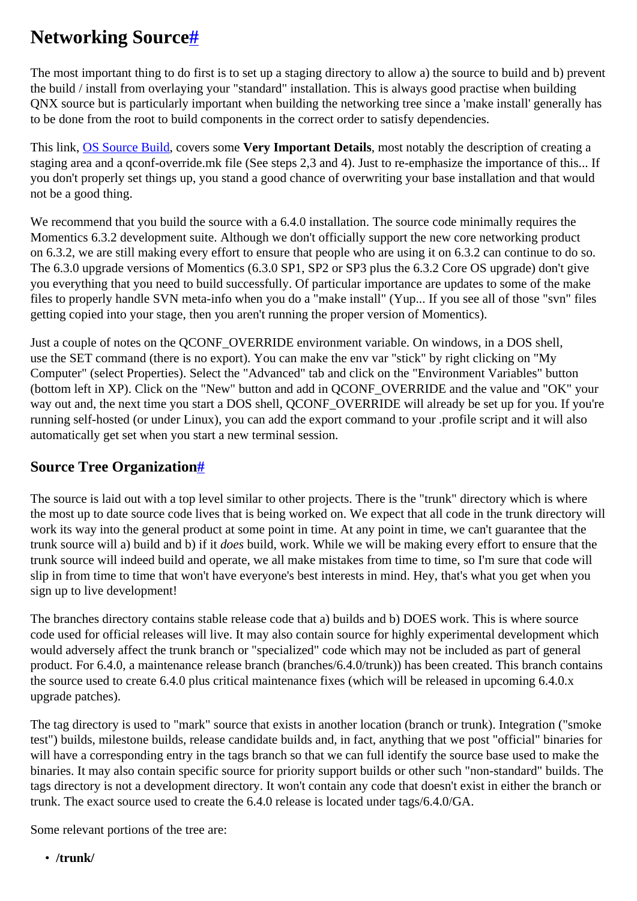# <span id="page-0-0"></span>**Networking Source[#](#page-0-0)**

The most important thing to do first is to set up a staging directory to allow a) the source to build and b) prevent the build / install from overlaying your "standard" installation. This is always good practise when building QNX source but is particularly important when building the networking tree since a 'make install' generally has to be done from the root to build components in the correct order to satisfy dependencies.

This link, [OS Source Build,](http://community.qnx.com/sf/wiki/do/viewPage/projects.core_os/wiki/BuildTheOSSource) covers some **Very Important Details**, most notably the description of creating a staging area and a qconf-override.mk file (See steps 2,3 and 4). Just to re-emphasize the importance of this... If you don't properly set things up, you stand a good chance of overwriting your base installation and that would not be a good thing.

We recommend that you build the source with a 6.4.0 installation. The source code minimally requires the Momentics 6.3.2 development suite. Although we don't officially support the new core networking product on 6.3.2, we are still making every effort to ensure that people who are using it on 6.3.2 can continue to do so. The 6.3.0 upgrade versions of Momentics (6.3.0 SP1, SP2 or SP3 plus the 6.3.2 Core OS upgrade) don't give you everything that you need to build successfully. Of particular importance are updates to some of the make files to properly handle SVN meta-info when you do a "make install" (Yup... If you see all of those "svn" files getting copied into your stage, then you aren't running the proper version of Momentics).

Just a couple of notes on the QCONF\_OVERRIDE environment variable. On windows, in a DOS shell, use the SET command (there is no export). You can make the env var "stick" by right clicking on "My Computer" (select Properties). Select the "Advanced" tab and click on the "Environment Variables" button (bottom left in XP). Click on the "New" button and add in QCONF\_OVERRIDE and the value and "OK" your way out and, the next time you start a DOS shell, OCONF\_OVERRIDE will already be set up for you. If you're running self-hosted (or under Linux), you can add the export command to your .profile script and it will also automatically get set when you start a new terminal session.

## <span id="page-0-1"></span>**Source Tree Organizatio[n#](#page-0-1)**

The source is laid out with a top level similar to other projects. There is the "trunk" directory which is where the most up to date source code lives that is being worked on. We expect that all code in the trunk directory will work its way into the general product at some point in time. At any point in time, we can't guarantee that the trunk source will a) build and b) if it *does* build, work. While we will be making every effort to ensure that the trunk source will indeed build and operate, we all make mistakes from time to time, so I'm sure that code will slip in from time to time that won't have everyone's best interests in mind. Hey, that's what you get when you sign up to live development!

The branches directory contains stable release code that a) builds and b) DOES work. This is where source code used for official releases will live. It may also contain source for highly experimental development which would adversely affect the trunk branch or "specialized" code which may not be included as part of general product. For 6.4.0, a maintenance release branch (branches/6.4.0/trunk)) has been created. This branch contains the source used to create 6.4.0 plus critical maintenance fixes (which will be released in upcoming 6.4.0.x upgrade patches).

The tag directory is used to "mark" source that exists in another location (branch or trunk). Integration ("smoke test") builds, milestone builds, release candidate builds and, in fact, anything that we post "official" binaries for will have a corresponding entry in the tags branch so that we can full identify the source base used to make the binaries. It may also contain specific source for priority support builds or other such "non-standard" builds. The tags directory is not a development directory. It won't contain any code that doesn't exist in either the branch or trunk. The exact source used to create the 6.4.0 release is located under tags/6.4.0/GA.

Some relevant portions of the tree are:

• **/trunk/**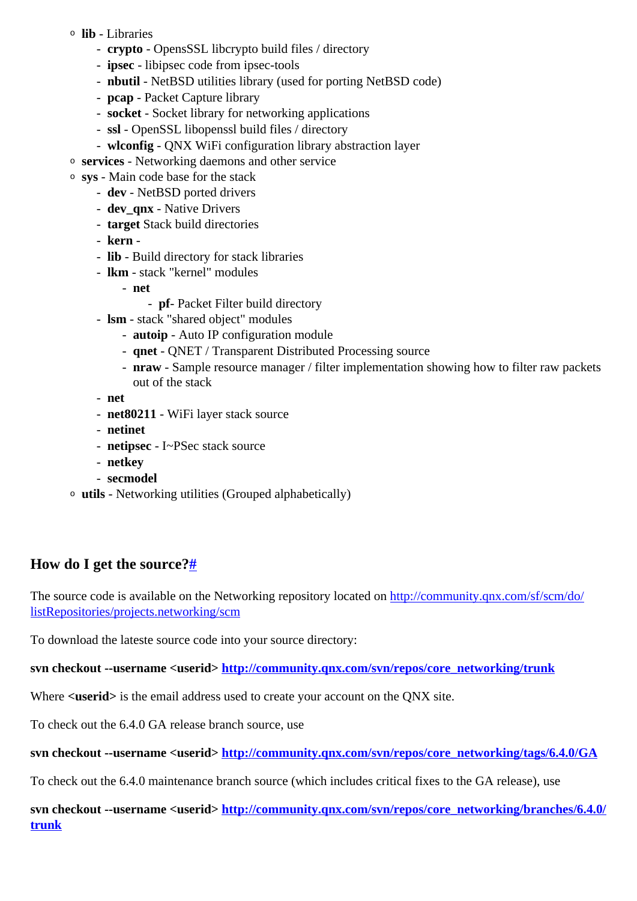- <sup>o</sup> **lib** Libraries
	- **crypto** OpensSSL libcrypto build files / directory
	- **ipsec** libipsec code from ipsec-tools
	- **nbutil** NetBSD utilities library (used for porting NetBSD code)
	- **pcap** Packet Capture library
	- **socket** Socket library for networking applications
	- **ssl** OpenSSL libopenssl build files / directory
	- **wlconfig** QNX WiFi configuration library abstraction layer
- <sup>o</sup> **services** Networking daemons and other service
- <sup>o</sup> **sys** Main code base for the stack
	- **dev** NetBSD ported drivers
	- **dev\_qnx** Native Drivers
	- **target** Stack build directories
	- **kern** -
	- **lib** Build directory for stack libraries
	- **lkm** stack "kernel" modules
		- **net**
			- **pf** Packet Filter build directory
	- **lsm** stack "shared object" modules
		- **autoip** Auto IP configuration module
		- **qnet** QNET / Transparent Distributed Processing source
		- **nraw** Sample resource manager / filter implementation showing how to filter raw packets out of the stack
	- **net**
	- **net80211** WiFi layer stack source
	- **netinet**
	- **netipsec** I~PSec stack source
	- **netkey**
	- **secmodel**
- <sup>o</sup> **utils** Networking utilities (Grouped alphabetically)

## <span id="page-1-0"></span>**How do I get the source?[#](#page-1-0)**

The source code is available on the Networking repository located on [http://community.qnx.com/sf/scm/do/](http://community.qnx.com/sf/scm/do/listRepositories/projects.networking/scm) [listRepositories/projects.networking/scm](http://community.qnx.com/sf/scm/do/listRepositories/projects.networking/scm)

To download the lateste source code into your source directory:

**svn checkout --username <userid> [http://community.qnx.com/svn/repos/core\\_networking/trunk](http://community.qnx.com/svn/repos/core_networking/trunk)**

Where **<userid>** is the email address used to create your account on the QNX site.

To check out the 6.4.0 GA release branch source, use

**svn checkout --username <userid> [http://community.qnx.com/svn/repos/core\\_networking/tags/6.4.0/GA](http://community.qnx.com/svn/repos/core_networking/tags/6.4.0/GA)**

To check out the 6.4.0 maintenance branch source (which includes critical fixes to the GA release), use

**svn checkout --username <userid> [http://community.qnx.com/svn/repos/core\\_networking/branches/6.4.0/](http://community.qnx.com/svn/repos/core_networking/branches/6.4.0/trunk) [trunk](http://community.qnx.com/svn/repos/core_networking/branches/6.4.0/trunk)**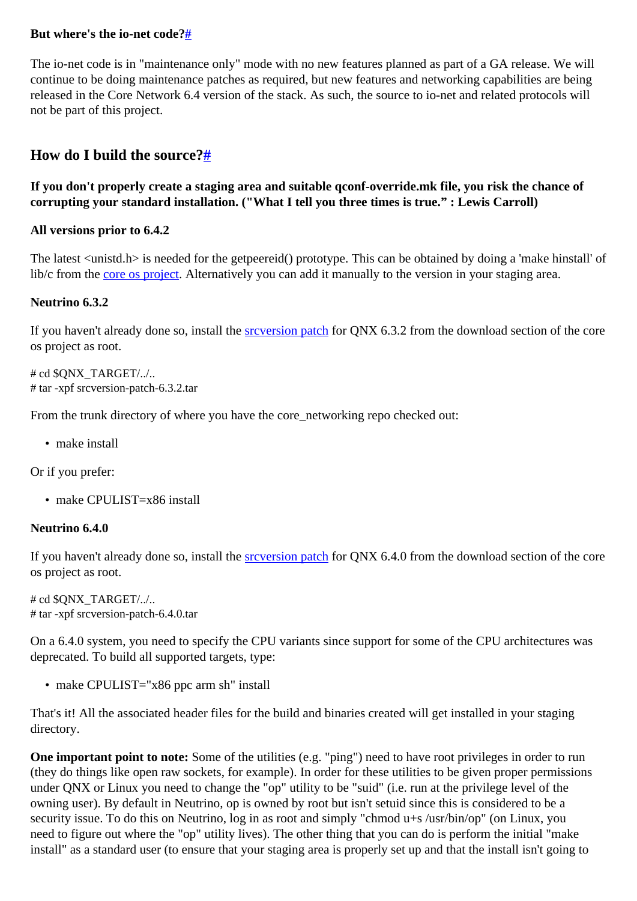#### <span id="page-2-0"></span>**But where's the io-net code?[#](#page-2-0)**

The io-net code is in "maintenance only" mode with no new features planned as part of a GA release. We will continue to be doing maintenance patches as required, but new features and networking capabilities are being released in the Core Network 6.4 version of the stack. As such, the source to io-net and related protocols will not be part of this project.

## <span id="page-2-1"></span>**How do I build the source[?#](#page-2-1)**

### **If you don't properly create a staging area and suitable qconf-override.mk file, you risk the chance of corrupting your standard installation. ("What I tell you three times is true." : Lewis Carroll)**

#### **All versions prior to 6.4.2**

The latest <unistd.h> is needed for the getpeereid() prototype. This can be obtained by doing a 'make hinstall' of lib/c from the [core os project](http://community.qnx.com/sf/sfmain/do/viewProject/projects.core_os). Alternatively you can add it manually to the version in your staging area.

#### **Neutrino 6.3.2**

If you haven't already done so, install the [srcversion patch](http://community.qnx.com/sf/frs/do/viewRelease/projects.core_os/frs.srcversion_patch.srcversion_patch_for_6_3_2) for QNX 6.3.2 from the download section of the core os project as root.

# cd \$QNX\_TARGET/../.. # tar -xpf srcversion-patch-6.3.2.tar

From the trunk directory of where you have the core\_networking repo checked out:

• make install

Or if you prefer:

• make CPULIST=x86 install

#### **Neutrino 6.4.0**

If you haven't already done so, install the **[srcversion patch](http://community.qnx.com/sf/frs/do/viewRelease/projects.core_os/frs.srcversion_patch.srcversion_patch_for_6_4_0)** for QNX 6.4.0 from the download section of the core os project as root.

# cd \$QNX\_TARGET/../.. # tar -xpf srcversion-patch-6.4.0.tar

On a 6.4.0 system, you need to specify the CPU variants since support for some of the CPU architectures was deprecated. To build all supported targets, type:

• make CPULIST="x86 ppc arm sh" install

That's it! All the associated header files for the build and binaries created will get installed in your staging directory.

**One important point to note:** Some of the utilities (e.g. "ping") need to have root privileges in order to run (they do things like open raw sockets, for example). In order for these utilities to be given proper permissions under QNX or Linux you need to change the "op" utility to be "suid" (i.e. run at the privilege level of the owning user). By default in Neutrino, op is owned by root but isn't setuid since this is considered to be a security issue. To do this on Neutrino, log in as root and simply "chmod u+s /usr/bin/op" (on Linux, you need to figure out where the "op" utility lives). The other thing that you can do is perform the initial "make install" as a standard user (to ensure that your staging area is properly set up and that the install isn't going to